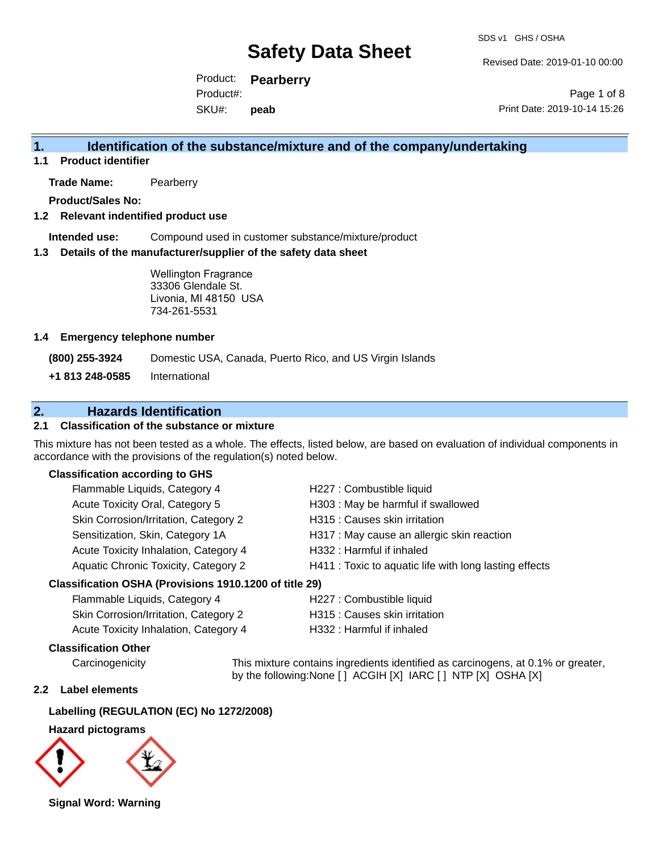Revised Date: 2019-01-10 00:00

Product: **Pearberry** SKU#: Product#: **peab**

Page 1 of 8 Print Date: 2019-10-14 15:26

## **1. Identification of the substance/mixture and of the company/undertaking**

**1.1 Product identifier**

**Trade Name:** Pearberry

**Product/Sales No:**

## **1.2 Relevant indentified product use**

**Intended use:** Compound used in customer substance/mixture/product

### **1.3 Details of the manufacturer/supplier of the safety data sheet**

Wellington Fragrance 33306 Glendale St. Livonia, MI 48150 USA 734-261-5531

### **1.4 Emergency telephone number**

**(800) 255-3924** Domestic USA, Canada, Puerto Rico, and US Virgin Islands

**+1 813 248-0585** International

## **2. Hazards Identification**

## **2.1 Classification of the substance or mixture**

This mixture has not been tested as a whole. The effects, listed below, are based on evaluation of individual components in accordance with the provisions of the regulation(s) noted below.

## **Classification according to GHS**

| Flammable Liquids, Category 4                             | H227 : Combustible liquid                              |
|-----------------------------------------------------------|--------------------------------------------------------|
| Acute Toxicity Oral, Category 5                           | H303: May be harmful if swallowed                      |
| Skin Corrosion/Irritation, Category 2                     | H315 : Causes skin irritation                          |
| Sensitization, Skin, Category 1A                          | H317 : May cause an allergic skin reaction             |
| Acute Toxicity Inhalation, Category 4                     | H332: Harmful if inhaled                               |
| Aquatic Chronic Toxicity, Category 2                      | H411 : Toxic to aquatic life with long lasting effects |
| $\sim$ ification OCIIA (Decuisions 4040 4000 of title 00) |                                                        |

### **Classification OSHA (Provisions 1910.1200 of title 29)**

| Flammable Liquids, Category 4         | H227 : Combustible liquid     |
|---------------------------------------|-------------------------------|
| Skin Corrosion/Irritation, Category 2 | H315 : Causes skin irritation |
| Acute Toxicity Inhalation, Category 4 | H332 : Harmful if inhaled     |

### **Classification Other**

Carcinogenicity This mixture contains ingredients identified as carcinogens, at 0.1% or greater, by the following:None [ ] ACGIH [X] IARC [ ] NTP [X] OSHA [X]

## **2.2 Label elements**

## **Labelling (REGULATION (EC) No 1272/2008)**

#### **Hazard pictograms**



**Signal Word: Warning**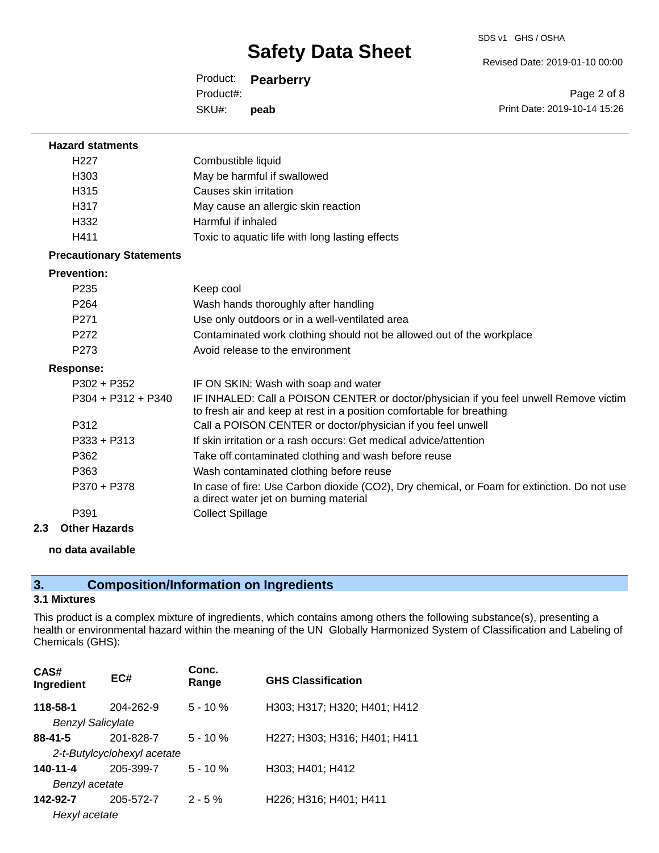Revised Date: 2019-01-10 00:00

Product: **Pearberry** SKU#: Product#: **peab**

Page 2 of 8 Print Date: 2019-10-14 15:26

| <b>Hazard statments</b>         |                                                                                                                                                                |
|---------------------------------|----------------------------------------------------------------------------------------------------------------------------------------------------------------|
| H <sub>227</sub>                | Combustible liquid                                                                                                                                             |
| H <sub>303</sub>                | May be harmful if swallowed                                                                                                                                    |
| H315                            | Causes skin irritation                                                                                                                                         |
| H317                            | May cause an allergic skin reaction                                                                                                                            |
| H332                            | Harmful if inhaled                                                                                                                                             |
| H411                            | Toxic to aquatic life with long lasting effects                                                                                                                |
| <b>Precautionary Statements</b> |                                                                                                                                                                |
| <b>Prevention:</b>              |                                                                                                                                                                |
| P <sub>235</sub>                | Keep cool                                                                                                                                                      |
| P <sub>264</sub>                | Wash hands thoroughly after handling                                                                                                                           |
| P271                            | Use only outdoors or in a well-ventilated area                                                                                                                 |
| P272                            | Contaminated work clothing should not be allowed out of the workplace                                                                                          |
| P273                            | Avoid release to the environment                                                                                                                               |
| <b>Response:</b>                |                                                                                                                                                                |
| $P302 + P352$                   | IF ON SKIN: Wash with soap and water                                                                                                                           |
| $P304 + P312 + P340$            | IF INHALED: Call a POISON CENTER or doctor/physician if you feel unwell Remove victim<br>to fresh air and keep at rest in a position comfortable for breathing |
| P312                            | Call a POISON CENTER or doctor/physician if you feel unwell                                                                                                    |
| $P333 + P313$                   | If skin irritation or a rash occurs: Get medical advice/attention                                                                                              |
| P362                            | Take off contaminated clothing and wash before reuse                                                                                                           |
| P363                            | Wash contaminated clothing before reuse                                                                                                                        |
| P370 + P378                     | In case of fire: Use Carbon dioxide (CO2), Dry chemical, or Foam for extinction. Do not use<br>a direct water jet on burning material                          |
| P391                            | <b>Collect Spillage</b>                                                                                                                                        |

**2.3 Other Hazards**

### **no data available**

## **3. Composition/Information on Ingredients**

## **3.1 Mixtures**

This product is a complex mixture of ingredients, which contains among others the following substance(s), presenting a health or environmental hazard within the meaning of the UN Globally Harmonized System of Classification and Labeling of Chemicals (GHS):

| CAS#<br>Ingredient          | EC#       | Conc.<br>Range | <b>GHS Classification</b>    |
|-----------------------------|-----------|----------------|------------------------------|
| 118-58-1                    | 204-262-9 | $5 - 10%$      | H303; H317; H320; H401; H412 |
| <b>Benzyl Salicylate</b>    |           |                |                              |
| $88 - 41 - 5$               | 201-828-7 | $5 - 10 \%$    | H227; H303; H316; H401; H411 |
| 2-t-Butylcyclohexyl acetate |           |                |                              |
| 140-11-4                    | 205-399-7 | $5 - 10%$      | H303; H401; H412             |
| Benzyl acetate              |           |                |                              |
| 142-92-7                    | 205-572-7 | $2 - 5%$       | H226; H316; H401; H411       |
| Hexyl acetate               |           |                |                              |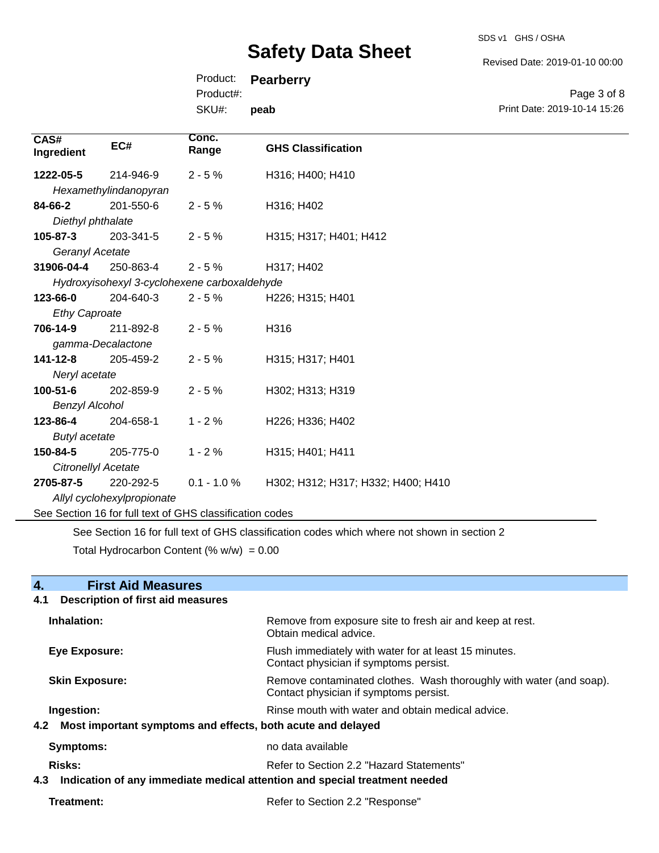SDS v1 GHS / OSHA

Revised Date: 2019-01-10 00:00

Product: **Pearberry**

Product#:

SKU#: **peab**

Page 3 of 8 Print Date: 2019-10-14 15:26

| CAS#<br>Ingredient                                       | EC#                        | Conc.<br>Range                               | <b>GHS Classification</b>          |
|----------------------------------------------------------|----------------------------|----------------------------------------------|------------------------------------|
| 1222-05-5                                                | 214-946-9                  | $2 - 5%$                                     | H316; H400; H410                   |
|                                                          | Hexamethylindanopyran      |                                              |                                    |
| 84-66-2                                                  | 201-550-6                  | $2 - 5%$                                     | H316; H402                         |
| Diethyl phthalate                                        |                            |                                              |                                    |
| 105-87-3                                                 | 203-341-5                  | $2 - 5%$                                     | H315; H317; H401; H412             |
| Geranyl Acetate                                          |                            |                                              |                                    |
| 31906-04-4                                               | 250-863-4                  | $2 - 5%$                                     | H317; H402                         |
|                                                          |                            | Hydroxyisohexyl 3-cyclohexene carboxaldehyde |                                    |
| 123-66-0                                                 | 204-640-3                  | $2 - 5%$                                     | H226; H315; H401                   |
| <b>Ethy Caproate</b>                                     |                            |                                              |                                    |
| 706-14-9                                                 | 211-892-8                  | $2 - 5%$                                     | H316                               |
|                                                          | gamma-Decalactone          |                                              |                                    |
| 141-12-8                                                 | 205-459-2                  | $2 - 5%$                                     | H315; H317; H401                   |
| Neryl acetate                                            |                            |                                              |                                    |
| $100 - 51 - 6$                                           | 202-859-9                  | $2 - 5%$                                     | H302; H313; H319                   |
| <b>Benzyl Alcohol</b>                                    |                            |                                              |                                    |
| 123-86-4                                                 | 204-658-1                  | $1 - 2%$                                     | H226; H336; H402                   |
| <b>Butyl acetate</b>                                     |                            |                                              |                                    |
| 150-84-5                                                 | 205-775-0                  | $1 - 2%$                                     | H315; H401; H411                   |
| Citronellyl Acetate                                      |                            |                                              |                                    |
| 2705-87-5                                                | 220-292-5                  | $0.1 - 1.0 \%$                               | H302; H312; H317; H332; H400; H410 |
|                                                          | Allyl cyclohexylpropionate |                                              |                                    |
| See Section 16 for full text of GHS classification codes |                            |                                              |                                    |

See Section 16 for full text of GHS classification codes which where not shown in section 2

Total Hydrocarbon Content  $(\% w/w) = 0.00$ 

| 4.<br><b>First Aid Measures</b>                                                   |                                                                                                               |  |
|-----------------------------------------------------------------------------------|---------------------------------------------------------------------------------------------------------------|--|
| <b>Description of first aid measures</b><br>4.1                                   |                                                                                                               |  |
| Inhalation:                                                                       | Remove from exposure site to fresh air and keep at rest.<br>Obtain medical advice.                            |  |
| <b>Eye Exposure:</b>                                                              | Flush immediately with water for at least 15 minutes.<br>Contact physician if symptoms persist.               |  |
| <b>Skin Exposure:</b>                                                             | Remove contaminated clothes. Wash thoroughly with water (and soap).<br>Contact physician if symptoms persist. |  |
| Ingestion:                                                                        | Rinse mouth with water and obtain medical advice.                                                             |  |
| Most important symptoms and effects, both acute and delayed<br>4.2                |                                                                                                               |  |
| <b>Symptoms:</b>                                                                  | no data available                                                                                             |  |
| Risks:                                                                            | Refer to Section 2.2 "Hazard Statements"                                                                      |  |
| Indication of any immediate medical attention and special treatment needed<br>4.3 |                                                                                                               |  |
| Treatment:                                                                        | Refer to Section 2.2 "Response"                                                                               |  |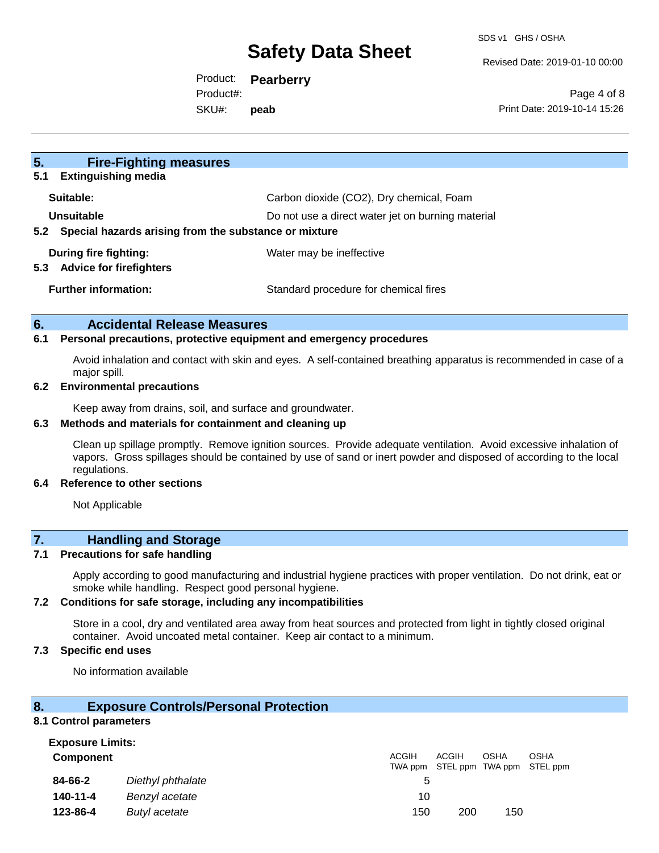Revised Date: 2019-01-10 00:00

Product: **Pearberry** Product#:

SKU#: **peab**

Page 4 of 8 Print Date: 2019-10-14 15:26

| 5.<br><b>Fire-Fighting measures</b><br><b>Extinguishing media</b><br>5.1 |                                                   |
|--------------------------------------------------------------------------|---------------------------------------------------|
|                                                                          |                                                   |
| Suitable:                                                                | Carbon dioxide (CO2), Dry chemical, Foam          |
| Unsuitable                                                               | Do not use a direct water jet on burning material |
| Special hazards arising from the substance or mixture<br>5.2             |                                                   |
| During fire fighting:                                                    | Water may be ineffective                          |
| <b>Advice for firefighters</b><br>5.3                                    |                                                   |
| <b>Further information:</b>                                              | Standard procedure for chemical fires             |
|                                                                          |                                                   |

### **6. Accidental Release Measures**

## **6.1 Personal precautions, protective equipment and emergency procedures**

Avoid inhalation and contact with skin and eyes. A self-contained breathing apparatus is recommended in case of a major spill.

#### **6.2 Environmental precautions**

Keep away from drains, soil, and surface and groundwater.

### **6.3 Methods and materials for containment and cleaning up**

Clean up spillage promptly. Remove ignition sources. Provide adequate ventilation. Avoid excessive inhalation of vapors. Gross spillages should be contained by use of sand or inert powder and disposed of according to the local regulations.

#### **6.4 Reference to other sections**

Not Applicable

## **7. Handling and Storage**

### **7.1 Precautions for safe handling**

Apply according to good manufacturing and industrial hygiene practices with proper ventilation. Do not drink, eat or smoke while handling. Respect good personal hygiene.

#### **7.2 Conditions for safe storage, including any incompatibilities**

Store in a cool, dry and ventilated area away from heat sources and protected from light in tightly closed original container. Avoid uncoated metal container. Keep air contact to a minimum.

### **7.3 Specific end uses**

No information available

### **8. Exposure Controls/Personal Protection**

#### **8.1 Control parameters**

| <b>Exposure Limits:</b> |                   |       |              |             |                                                  |
|-------------------------|-------------------|-------|--------------|-------------|--------------------------------------------------|
| <b>Component</b>        |                   | ACGIH | <b>ACGIH</b> | <b>OSHA</b> | <b>OSHA</b><br>TWA ppm STEL ppm TWA ppm STEL ppm |
| 84-66-2                 | Diethyl phthalate | 5     |              |             |                                                  |
| 140-11-4                | Benzyl acetate    | 10    |              |             |                                                  |
| 123-86-4                | Butyl acetate     | 150   | 200          | 150         |                                                  |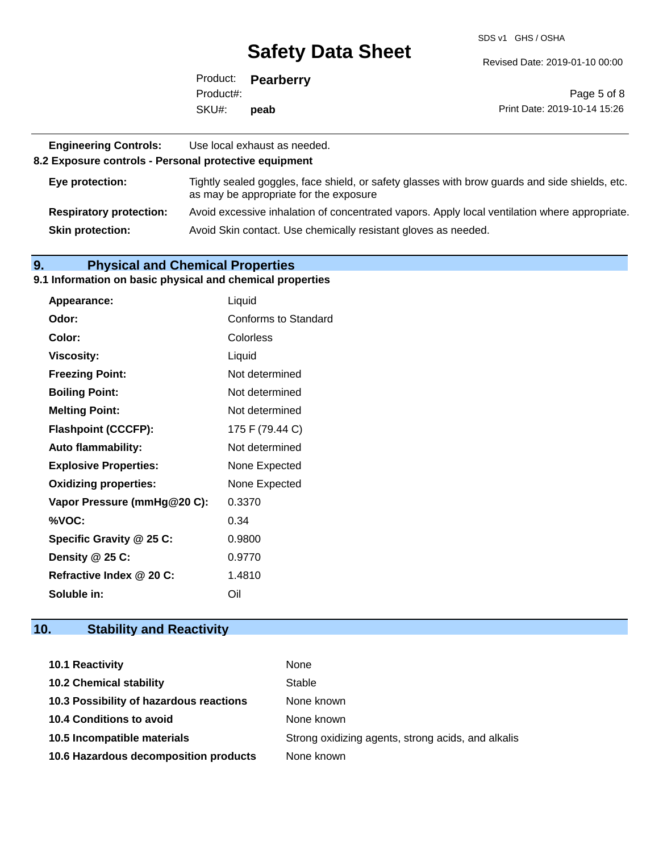SDS v1 GHS / OSHA

Revised Date: 2019-01-10 00:00

|           | Product: <b>Pearberry</b> |                              |
|-----------|---------------------------|------------------------------|
| Product#: |                           | Page 5 of 8                  |
| SKU#:     | peab                      | Print Date: 2019-10-14 15:26 |

| <b>Engineering Controls:</b><br>8.2 Exposure controls - Personal protective equipment | Use local exhaust as needed.                                                                                                             |
|---------------------------------------------------------------------------------------|------------------------------------------------------------------------------------------------------------------------------------------|
| Eye protection:                                                                       | Tightly sealed goggles, face shield, or safety glasses with brow guards and side shields, etc.<br>as may be appropriate for the exposure |
| <b>Respiratory protection:</b>                                                        | Avoid excessive inhalation of concentrated vapors. Apply local ventilation where appropriate.                                            |
| <b>Skin protection:</b>                                                               | Avoid Skin contact. Use chemically resistant gloves as needed.                                                                           |

## **9. Physical and Chemical Properties**

#### **9.1 Information on basic physical and chemical properties**

| Appearance:                  | Liquid               |
|------------------------------|----------------------|
| Odor:                        | Conforms to Standard |
| Color:                       | Colorless            |
| <b>Viscosity:</b>            | Liquid               |
| <b>Freezing Point:</b>       | Not determined       |
| <b>Boiling Point:</b>        | Not determined       |
| <b>Melting Point:</b>        | Not determined       |
| <b>Flashpoint (CCCFP):</b>   | 175 F (79.44 C)      |
| <b>Auto flammability:</b>    | Not determined       |
| <b>Explosive Properties:</b> | None Expected        |
| <b>Oxidizing properties:</b> | None Expected        |
| Vapor Pressure (mmHg@20 C):  | 0.3370               |
| %VOC:                        | 0.34                 |
| Specific Gravity @ 25 C:     | 0.9800               |
| Density @ 25 C:              | 0.9770               |
| Refractive Index @ 20 C:     | 1.4810               |
| Soluble in:                  | Oil                  |

## **10. Stability and Reactivity**

| <b>10.1 Reactivity</b>                  | None                                               |
|-----------------------------------------|----------------------------------------------------|
| <b>10.2 Chemical stability</b>          | Stable                                             |
| 10.3 Possibility of hazardous reactions | None known                                         |
| <b>10.4 Conditions to avoid</b>         | None known                                         |
| 10.5 Incompatible materials             | Strong oxidizing agents, strong acids, and alkalis |
| 10.6 Hazardous decomposition products   | None known                                         |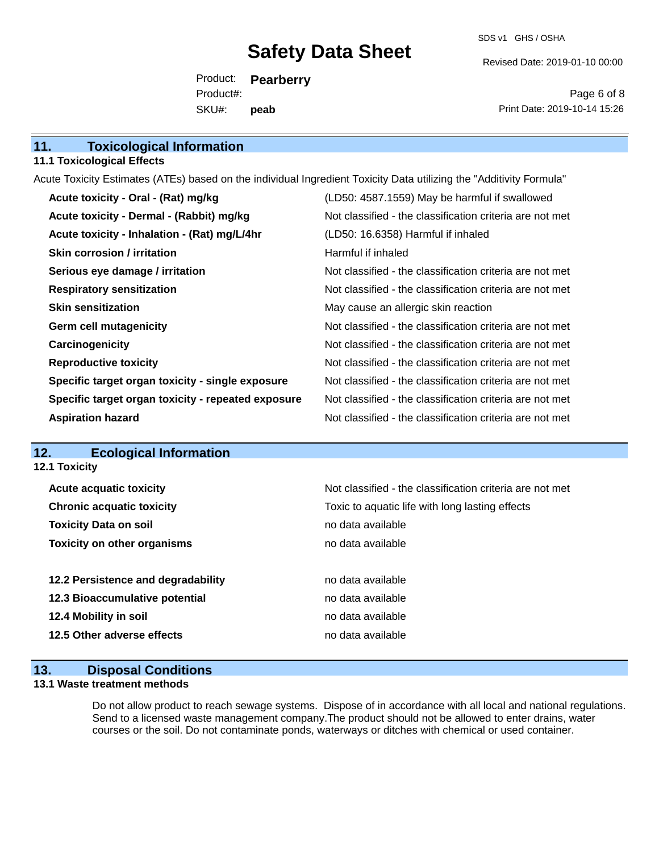SDS v1 GHS / OSHA

Revised Date: 2019-01-10 00:00

Product: **Pearberry** SKU#: Product#: **peab**

Page 6 of 8 Print Date: 2019-10-14 15:26

### **11.1 Toxicological Effects**

Acute Toxicity Estimates (ATEs) based on the individual Ingredient Toxicity Data utilizing the "Additivity Formula"

| Acute toxicity - Oral - (Rat) mg/kg                | (LD50: 4587.1559) May be harmful if swallowed            |
|----------------------------------------------------|----------------------------------------------------------|
| Acute toxicity - Dermal - (Rabbit) mg/kg           | Not classified - the classification criteria are not met |
| Acute toxicity - Inhalation - (Rat) mg/L/4hr       | (LD50: 16.6358) Harmful if inhaled                       |
| <b>Skin corrosion / irritation</b>                 | Harmful if inhaled                                       |
| Serious eye damage / irritation                    | Not classified - the classification criteria are not met |
| <b>Respiratory sensitization</b>                   | Not classified - the classification criteria are not met |
| <b>Skin sensitization</b>                          | May cause an allergic skin reaction                      |
| <b>Germ cell mutagenicity</b>                      | Not classified - the classification criteria are not met |
| Carcinogenicity                                    | Not classified - the classification criteria are not met |
| <b>Reproductive toxicity</b>                       | Not classified - the classification criteria are not met |
| Specific target organ toxicity - single exposure   | Not classified - the classification criteria are not met |
| Specific target organ toxicity - repeated exposure | Not classified - the classification criteria are not met |
| <b>Aspiration hazard</b>                           | Not classified - the classification criteria are not met |

## **12. Ecological Information**

**12.1 Toxicity**

| <b>Acute acquatic toxicity</b>     | Not classified - the classification criteria are not met |
|------------------------------------|----------------------------------------------------------|
| <b>Chronic acquatic toxicity</b>   | Toxic to aquatic life with long lasting effects          |
| <b>Toxicity Data on soil</b>       | no data available                                        |
| <b>Toxicity on other organisms</b> | no data available                                        |
|                                    |                                                          |
| 12.2 Persistence and degradability | no data available                                        |
| 12.3 Bioaccumulative potential     | no data available                                        |
| 12.4 Mobility in soil              | no data available                                        |
| 12.5 Other adverse effects         | no data available                                        |
|                                    |                                                          |

## **13. Disposal Conditions**

## **13.1 Waste treatment methods**

Do not allow product to reach sewage systems. Dispose of in accordance with all local and national regulations. Send to a licensed waste management company.The product should not be allowed to enter drains, water courses or the soil. Do not contaminate ponds, waterways or ditches with chemical or used container.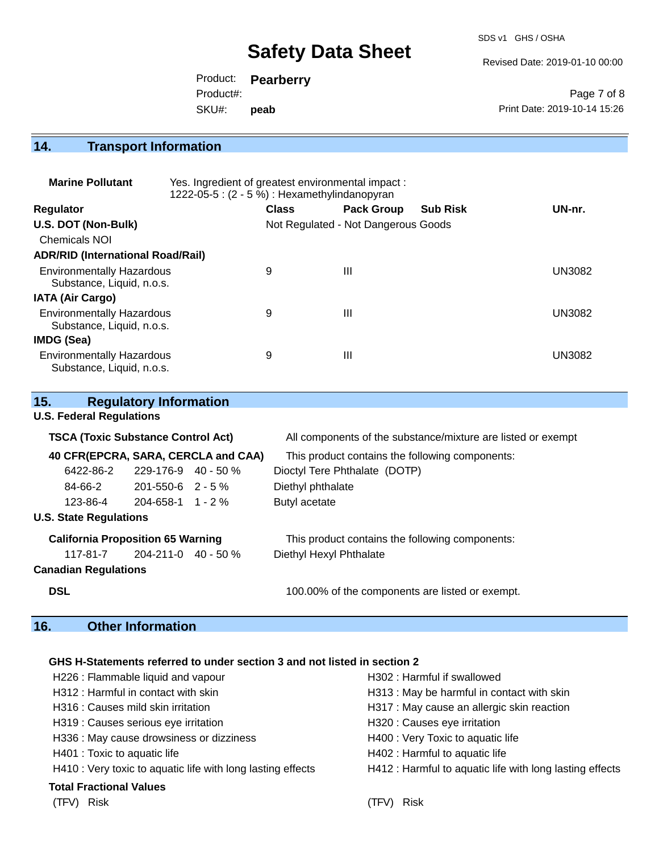SDS v1 GHS / OSHA

Revised Date: 2019-01-10 00:00

Page 7 of 8

Print Date: 2019-10-14 15:26 Product: **Pearberry** SKU#: Product#: **peab**

## **14. Transport Information**

| <b>Marine Pollutant</b>                                       | Yes. Ingredient of greatest environmental impact:<br>1222-05-5 : $(2 - 5%)$ : Hexamethylindanopyran |              |                                     |                 |               |
|---------------------------------------------------------------|-----------------------------------------------------------------------------------------------------|--------------|-------------------------------------|-----------------|---------------|
| <b>Regulator</b>                                              |                                                                                                     | <b>Class</b> | <b>Pack Group</b>                   | <b>Sub Risk</b> | UN-nr.        |
| U.S. DOT (Non-Bulk)                                           |                                                                                                     |              | Not Regulated - Not Dangerous Goods |                 |               |
| Chemicals NOI                                                 |                                                                                                     |              |                                     |                 |               |
| <b>ADR/RID (International Road/Rail)</b>                      |                                                                                                     |              |                                     |                 |               |
| <b>Environmentally Hazardous</b><br>Substance, Liquid, n.o.s. |                                                                                                     | 9            | Ш                                   |                 | <b>UN3082</b> |
| <b>IATA (Air Cargo)</b>                                       |                                                                                                     |              |                                     |                 |               |
| <b>Environmentally Hazardous</b><br>Substance, Liquid, n.o.s. |                                                                                                     | 9            | Ш                                   |                 | <b>UN3082</b> |
| IMDG (Sea)                                                    |                                                                                                     |              |                                     |                 |               |
| <b>Environmentally Hazardous</b><br>Substance, Liquid, n.o.s. |                                                                                                     | 9            | Ш                                   |                 | <b>UN3082</b> |

| 15.                                 |                                           | <b>Regulatory Information</b>                   |                                                              |
|-------------------------------------|-------------------------------------------|-------------------------------------------------|--------------------------------------------------------------|
|                                     | <b>U.S. Federal Regulations</b>           |                                                 |                                                              |
|                                     | <b>TSCA (Toxic Substance Control Act)</b> |                                                 | All components of the substance/mixture are listed or exempt |
| 40 CFR(EPCRA, SARA, CERCLA and CAA) |                                           | This product contains the following components: |                                                              |
|                                     | 6422-86-2                                 | $229 - 176 - 9$ 40 - 50 %                       | Dioctyl Tere Phthalate (DOTP)                                |
|                                     | 84-66-2                                   | 201-550-6 2 - 5 %                               | Diethyl phthalate                                            |
|                                     | 123-86-4                                  | $204 - 658 - 1$ 1 - 2 %                         | Butyl acetate                                                |
|                                     | <b>U.S. State Regulations</b>             |                                                 |                                                              |
|                                     | <b>California Proposition 65 Warning</b>  |                                                 | This product contains the following components:              |
|                                     | $117-81-7$ 204-211-0 40 - 50 %            |                                                 | Diethyl Hexyl Phthalate                                      |
|                                     | <b>Canadian Regulations</b>               |                                                 |                                                              |
| <b>DSL</b>                          |                                           |                                                 | 100.00% of the components are listed or exempt.              |
|                                     |                                           |                                                 |                                                              |

## **16. Other Information**

## **GHS H-Statements referred to under section 3 and not listed in section 2**

| H226 : Flammable liquid and vapour                          | H302: Harmful if swallowed                               |
|-------------------------------------------------------------|----------------------------------------------------------|
| H312 : Harmful in contact with skin                         | H313 : May be harmful in contact with skin               |
| H316 : Causes mild skin irritation                          | H317 : May cause an allergic skin reaction               |
| H319 : Causes serious eye irritation                        | H320 : Causes eye irritation                             |
| H336 : May cause drowsiness or dizziness                    | H400 : Very Toxic to aquatic life                        |
| H401 : Toxic to aquatic life                                | H402 : Harmful to aquatic life                           |
| H410 : Very toxic to aquatic life with long lasting effects | H412 : Harmful to aquatic life with long lasting effects |
| <b>Total Fractional Values</b>                              |                                                          |
| Risk<br>(TFV)                                               | Risk                                                     |
|                                                             |                                                          |